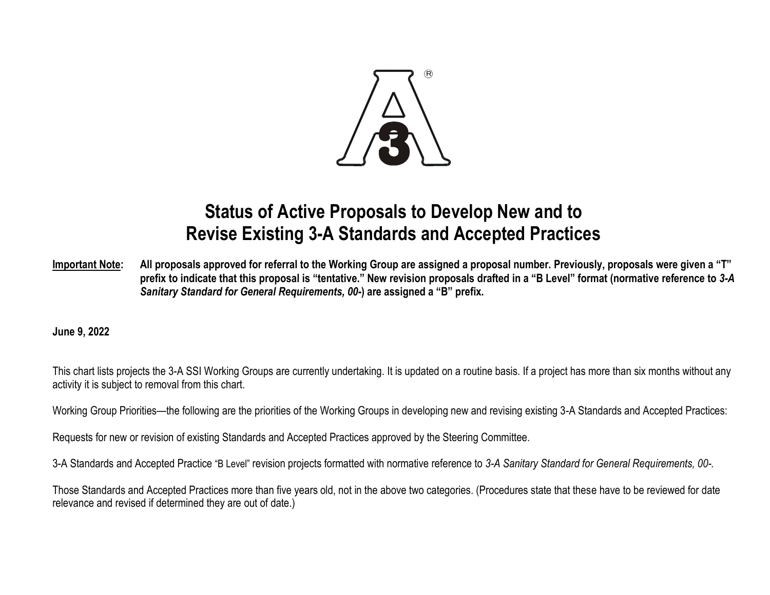

## **Status of Active Proposals to Develop New and to Revise Existing 3-A Standards and Accepted Practices**

**Important Note: All proposals approved for referral to the Working Group are assigned a proposal number. Previously, proposals were given a "T" prefix to indicate that this proposal is "tentative." New revision proposals drafted in a "B Level" format (normative reference to** *3-A Sanitary Standard for General Requirements, 00-***) are assigned a "B" prefix.**

**June 9, 2022**

This chart lists projects the 3-A SSI Working Groups are currently undertaking. It is updated on a routine basis. If a project has more than six months without any activity it is subject to removal from this chart.

Working Group Priorities—the following are the priorities of the Working Groups in developing new and revising existing 3-A Standards and Accepted Practices:

Requests for new or revision of existing Standards and Accepted Practices approved by the Steering Committee.

3-A Standards and Accepted Practice "B Level" revision projects formatted with normative reference to *3-A Sanitary Standard for General Requirements, 00-.*

Those Standards and Accepted Practices more than five years old, not in the above two categories. (Procedures state that these have to be reviewed for date relevance and revised if determined they are out of date.)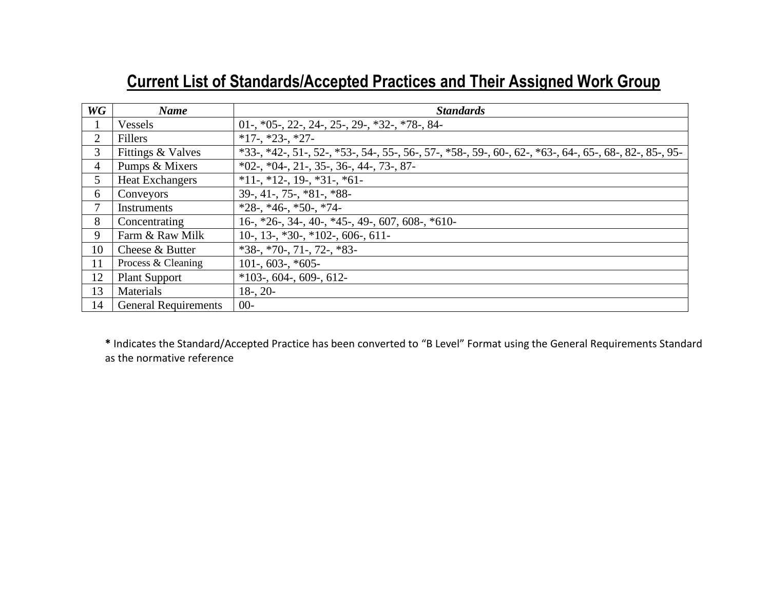## **Current List of Standards/Accepted Practices and Their Assigned Work Group**

| WG | <b>Name</b>                 | <b>Standards</b>                                                                                                                                                   |
|----|-----------------------------|--------------------------------------------------------------------------------------------------------------------------------------------------------------------|
|    | Vessels                     | 01-, $*05$ -, 22-, 24-, 25-, 29-, $*32$ -, $*78$ -, 84-                                                                                                            |
| 2  | Fillers                     | $*17$ -, $*23$ -, $*27$ -                                                                                                                                          |
| 3  | Fittings & Valves           | $*33-$ , $*42-$ , $51-$ , $52-$ , $*53-$ , $54-$ , $55-$ , $56-$ , $57-$ , $*58-$ , $59-$ , $60-$ , $62-$ , $*63-$ , $64-$ , $65-$ , $68-$ , $82-$ , $85-$ , $95-$ |
| 4  | Pumps & Mixers              | $*02$ -, $*04$ -, 21-, 35-, 36-, 44-, 73-, 87-                                                                                                                     |
| 5  | <b>Heat Exchangers</b>      | $*11-, *12-, 19-, *31-, *61-$                                                                                                                                      |
| 6  | Conveyors                   | $39-$ , 41-, 75-, $*81-$ , $*88-$                                                                                                                                  |
| 7  | <b>Instruments</b>          | $*28$ -, $*46$ -, $*50$ -, $*74$ -                                                                                                                                 |
| 8  | Concentrating               | $16$ , *26, 34, 40, *45, 49, 607, 608, *610                                                                                                                        |
| 9  | Farm & Raw Milk             | $10-$ , 13-, $*30-$ , $*102-$ , 606-, 611-                                                                                                                         |
| 10 | Cheese & Butter             | $*38$ -, $*70$ -, 71-, 72-, $*83$ -                                                                                                                                |
| 11 | Process & Cleaning          | $101-, 603-, *605-$                                                                                                                                                |
| 12 | <b>Plant Support</b>        | $*103$ -, 604-, 609-, 612-                                                                                                                                         |
| 13 | Materials                   | $18 - 20$                                                                                                                                                          |
| 14 | <b>General Requirements</b> | $00 -$                                                                                                                                                             |

**\*** Indicates the Standard/Accepted Practice has been converted to "B Level" Format using the General Requirements Standard as the normative reference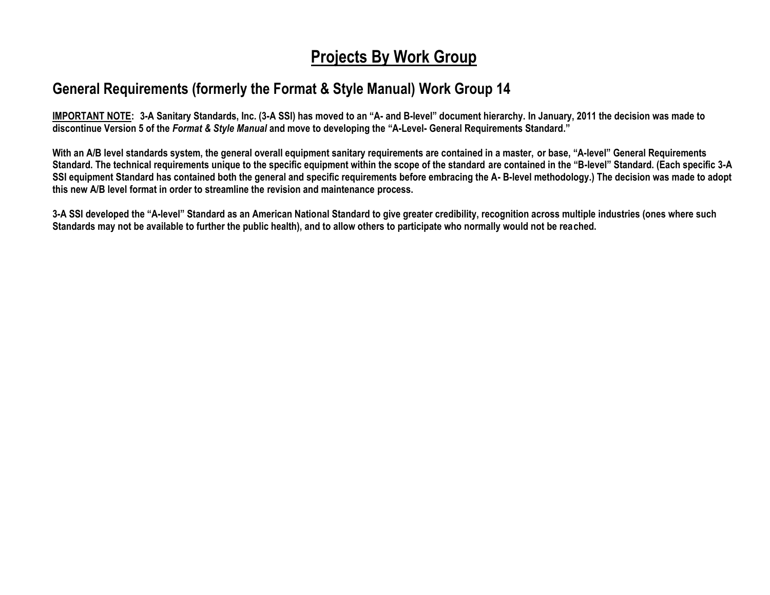## **Projects By Work Group**

## **General Requirements (formerly the Format & Style Manual) Work Group 14**

**IMPORTANT NOTE: 3-A Sanitary Standards, Inc. (3-A SSI) has moved to an "A- and B-level" document hierarchy. In January, 2011 the decision was made to discontinue Version 5 of the** *Format & Style Manual* **and move to developing the "A-Level- General Requirements Standard."**

**With an A/B level standards system, the general overall equipment sanitary requirements are contained in a master, or base, "A-level" General Requirements Standard. The technical requirements unique to the specific equipment within the scope of the standard are contained in the "B-level" Standard. (Each specific 3-A SSI equipment Standard has contained both the general and specific requirements before embracing the A- B-level methodology.) The decision was made to adopt this new A/B level format in order to streamline the revision and maintenance process.**

**3-A SSI developed the "A-level" Standard as an American National Standard to give greater credibility, recognition across multiple industries (ones where such Standards may not be available to further the public health), and to allow others to participate who normally would not be reached.**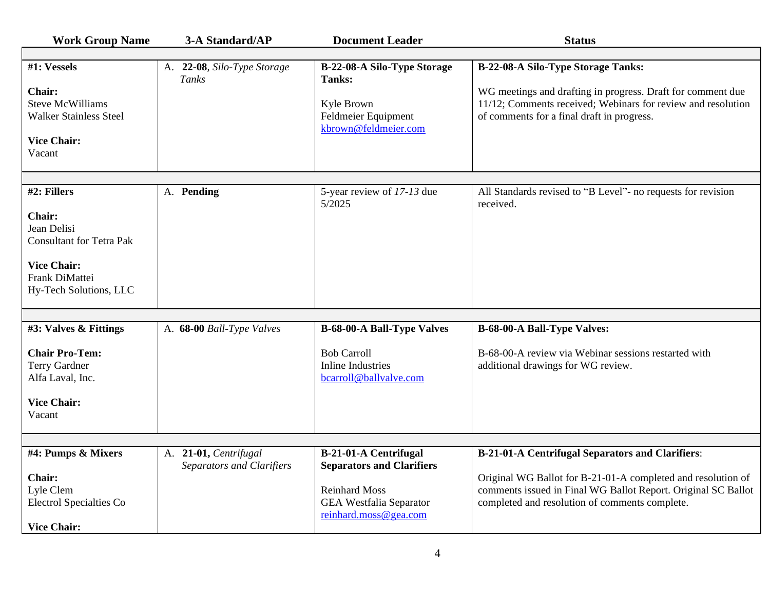| <b>Work Group Name</b>                                                                                                                           | 3-A Standard/AP                                           | <b>Document Leader</b>                                                                                                                              | <b>Status</b>                                                                                                                                                                                                                              |
|--------------------------------------------------------------------------------------------------------------------------------------------------|-----------------------------------------------------------|-----------------------------------------------------------------------------------------------------------------------------------------------------|--------------------------------------------------------------------------------------------------------------------------------------------------------------------------------------------------------------------------------------------|
|                                                                                                                                                  |                                                           |                                                                                                                                                     |                                                                                                                                                                                                                                            |
| #1: Vessels<br>Chair:<br><b>Steve McWilliams</b><br><b>Walker Stainless Steel</b><br><b>Vice Chair:</b><br>Vacant                                | A. 22-08, Silo-Type Storage<br>Tanks                      | B-22-08-A Silo-Type Storage<br>Tanks:<br>Kyle Brown<br>Feldmeier Equipment<br>kbrown@feldmeier.com                                                  | B-22-08-A Silo-Type Storage Tanks:<br>WG meetings and drafting in progress. Draft for comment due<br>11/12; Comments received; Webinars for review and resolution<br>of comments for a final draft in progress.                            |
|                                                                                                                                                  |                                                           |                                                                                                                                                     |                                                                                                                                                                                                                                            |
| #2: Fillers<br><b>Chair:</b><br>Jean Delisi<br><b>Consultant for Tetra Pak</b><br><b>Vice Chair:</b><br>Frank DiMattei<br>Hy-Tech Solutions, LLC | A. Pending                                                | 5-year review of 17-13 due<br>5/2025                                                                                                                | All Standards revised to "B Level"- no requests for revision<br>received.                                                                                                                                                                  |
|                                                                                                                                                  |                                                           |                                                                                                                                                     |                                                                                                                                                                                                                                            |
| #3: Valves & Fittings<br><b>Chair Pro-Tem:</b><br><b>Terry Gardner</b><br>Alfa Laval, Inc.<br><b>Vice Chair:</b><br>Vacant                       | A. 68-00 Ball-Type Valves                                 | <b>B-68-00-A Ball-Type Valves</b><br><b>Bob Carroll</b><br><b>Inline Industries</b><br>bcarroll@ballvalve.com                                       | <b>B-68-00-A Ball-Type Valves:</b><br>B-68-00-A review via Webinar sessions restarted with<br>additional drawings for WG review.                                                                                                           |
|                                                                                                                                                  |                                                           |                                                                                                                                                     |                                                                                                                                                                                                                                            |
| #4: Pumps & Mixers<br>Chair:<br>Lyle Clem<br><b>Electrol Specialties Co</b><br><b>Vice Chair:</b>                                                | A. 21-01, Centrifugal<br><b>Separators and Clarifiers</b> | <b>B-21-01-A Centrifugal</b><br><b>Separators and Clarifiers</b><br><b>Reinhard Moss</b><br><b>GEA Westfalia Separator</b><br>reinhard.moss@gea.com | <b>B-21-01-A Centrifugal Separators and Clarifiers:</b><br>Original WG Ballot for B-21-01-A completed and resolution of<br>comments issued in Final WG Ballot Report. Original SC Ballot<br>completed and resolution of comments complete. |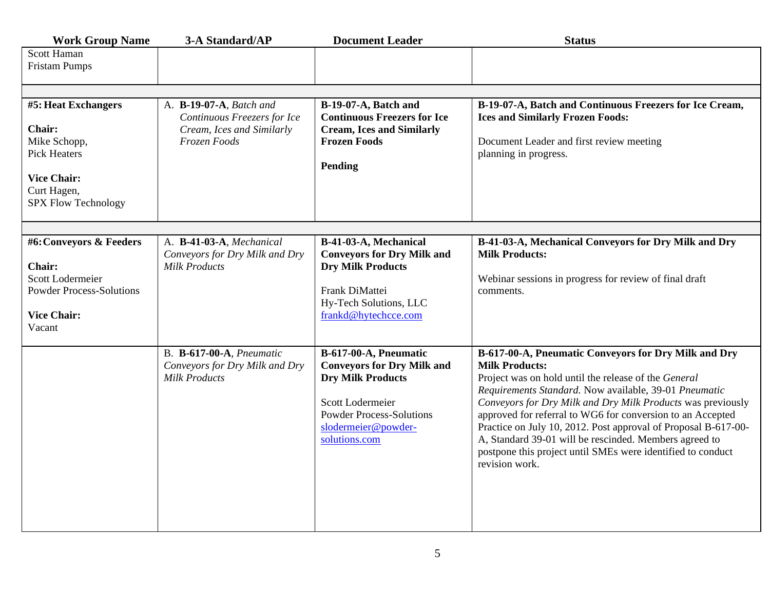| <b>Work Group Name</b>                                                                                                                  | 3-A Standard/AP                                                                                     | <b>Document Leader</b>                                                                                                                                                                | <b>Status</b>                                                                                                                                                                                                                                                                                                                                                                                                                                                                                                                            |  |
|-----------------------------------------------------------------------------------------------------------------------------------------|-----------------------------------------------------------------------------------------------------|---------------------------------------------------------------------------------------------------------------------------------------------------------------------------------------|------------------------------------------------------------------------------------------------------------------------------------------------------------------------------------------------------------------------------------------------------------------------------------------------------------------------------------------------------------------------------------------------------------------------------------------------------------------------------------------------------------------------------------------|--|
| Scott Haman<br><b>Fristam Pumps</b>                                                                                                     |                                                                                                     |                                                                                                                                                                                       |                                                                                                                                                                                                                                                                                                                                                                                                                                                                                                                                          |  |
|                                                                                                                                         |                                                                                                     |                                                                                                                                                                                       |                                                                                                                                                                                                                                                                                                                                                                                                                                                                                                                                          |  |
| #5: Heat Exchangers<br>Chair:<br>Mike Schopp,<br><b>Pick Heaters</b><br><b>Vice Chair:</b><br>Curt Hagen,<br><b>SPX Flow Technology</b> | A. B-19-07-A, Batch and<br>Continuous Freezers for Ice<br>Cream, Ices and Similarly<br>Frozen Foods | B-19-07-A, Batch and<br><b>Continuous Freezers for Ice</b><br><b>Cream, Ices and Similarly</b><br><b>Frozen Foods</b><br>Pending                                                      | B-19-07-A, Batch and Continuous Freezers for Ice Cream,<br><b>Ices and Similarly Frozen Foods:</b><br>Document Leader and first review meeting<br>planning in progress.                                                                                                                                                                                                                                                                                                                                                                  |  |
|                                                                                                                                         |                                                                                                     |                                                                                                                                                                                       |                                                                                                                                                                                                                                                                                                                                                                                                                                                                                                                                          |  |
| #6: Conveyors & Feeders<br>Chair:<br>Scott Lodermeier<br><b>Powder Process-Solutions</b><br><b>Vice Chair:</b><br>Vacant                | A. B-41-03-A, Mechanical<br>Conveyors for Dry Milk and Dry<br><b>Milk Products</b>                  | B-41-03-A, Mechanical<br><b>Conveyors for Dry Milk and</b><br><b>Dry Milk Products</b><br>Frank DiMattei<br>Hy-Tech Solutions, LLC<br>frankd@hytechcce.com                            | B-41-03-A, Mechanical Conveyors for Dry Milk and Dry<br><b>Milk Products:</b><br>Webinar sessions in progress for review of final draft<br>comments.                                                                                                                                                                                                                                                                                                                                                                                     |  |
|                                                                                                                                         | <b>B. B-617-00-A, Pneumatic</b><br>Conveyors for Dry Milk and Dry<br><b>Milk Products</b>           | B-617-00-A, Pneumatic<br><b>Conveyors for Dry Milk and</b><br><b>Dry Milk Products</b><br>Scott Lodermeier<br><b>Powder Process-Solutions</b><br>slodermeier@powder-<br>solutions.com | B-617-00-A, Pneumatic Conveyors for Dry Milk and Dry<br><b>Milk Products:</b><br>Project was on hold until the release of the General<br>Requirements Standard. Now available, 39-01 Pneumatic<br>Conveyors for Dry Milk and Dry Milk Products was previously<br>approved for referral to WG6 for conversion to an Accepted<br>Practice on July 10, 2012. Post approval of Proposal B-617-00-<br>A, Standard 39-01 will be rescinded. Members agreed to<br>postpone this project until SMEs were identified to conduct<br>revision work. |  |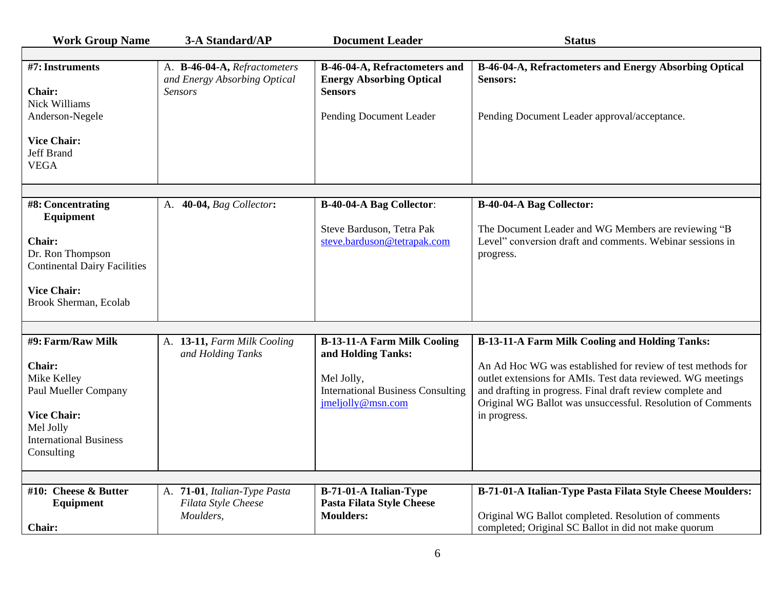| <b>Work Group Name</b>                                                         | 3-A Standard/AP                                                                | <b>Document Leader</b>                                                             | <b>Status</b>                                                                                                                                                                                                                                          |
|--------------------------------------------------------------------------------|--------------------------------------------------------------------------------|------------------------------------------------------------------------------------|--------------------------------------------------------------------------------------------------------------------------------------------------------------------------------------------------------------------------------------------------------|
|                                                                                |                                                                                |                                                                                    |                                                                                                                                                                                                                                                        |
| #7: Instruments<br>Chair:<br><b>Nick Williams</b>                              | A. B-46-04-A, Refractometers<br>and Energy Absorbing Optical<br><b>Sensors</b> | B-46-04-A, Refractometers and<br><b>Energy Absorbing Optical</b><br><b>Sensors</b> | B-46-04-A, Refractometers and Energy Absorbing Optical<br><b>Sensors:</b>                                                                                                                                                                              |
| Anderson-Negele                                                                |                                                                                | Pending Document Leader                                                            | Pending Document Leader approval/acceptance.                                                                                                                                                                                                           |
| <b>Vice Chair:</b><br><b>Jeff Brand</b><br><b>VEGA</b>                         |                                                                                |                                                                                    |                                                                                                                                                                                                                                                        |
|                                                                                |                                                                                |                                                                                    |                                                                                                                                                                                                                                                        |
| #8: Concentrating<br>Equipment                                                 | A. 40-04, Bag Collector:                                                       | <b>B-40-04-A Bag Collector:</b>                                                    | B-40-04-A Bag Collector:                                                                                                                                                                                                                               |
| <b>Chair:</b><br>Dr. Ron Thompson<br><b>Continental Dairy Facilities</b>       |                                                                                | Steve Barduson, Tetra Pak<br>steve.barduson@tetrapak.com                           | The Document Leader and WG Members are reviewing "B<br>Level" conversion draft and comments. Webinar sessions in<br>progress.                                                                                                                          |
| <b>Vice Chair:</b><br>Brook Sherman, Ecolab                                    |                                                                                |                                                                                    |                                                                                                                                                                                                                                                        |
|                                                                                |                                                                                |                                                                                    |                                                                                                                                                                                                                                                        |
| #9: Farm/Raw Milk                                                              | A. 13-11, Farm Milk Cooling<br>and Holding Tanks                               | <b>B-13-11-A Farm Milk Cooling</b><br>and Holding Tanks:                           | <b>B-13-11-A Farm Milk Cooling and Holding Tanks:</b>                                                                                                                                                                                                  |
| Chair:<br>Mike Kelley<br>Paul Mueller Company                                  |                                                                                | Mel Jolly,<br><b>International Business Consulting</b><br>jmeljolly@msn.com        | An Ad Hoc WG was established for review of test methods for<br>outlet extensions for AMIs. Test data reviewed. WG meetings<br>and drafting in progress. Final draft review complete and<br>Original WG Ballot was unsuccessful. Resolution of Comments |
| <b>Vice Chair:</b><br>Mel Jolly<br><b>International Business</b><br>Consulting |                                                                                |                                                                                    | in progress.                                                                                                                                                                                                                                           |
|                                                                                |                                                                                |                                                                                    |                                                                                                                                                                                                                                                        |
| #10: Cheese & Butter<br>Equipment<br><b>Chair:</b>                             | A. 71-01, Italian-Type Pasta<br>Filata Style Cheese<br>Moulders,               | B-71-01-A Italian-Type<br><b>Pasta Filata Style Cheese</b><br><b>Moulders:</b>     | B-71-01-A Italian-Type Pasta Filata Style Cheese Moulders:<br>Original WG Ballot completed. Resolution of comments<br>completed; Original SC Ballot in did not make quorum                                                                             |
|                                                                                |                                                                                |                                                                                    |                                                                                                                                                                                                                                                        |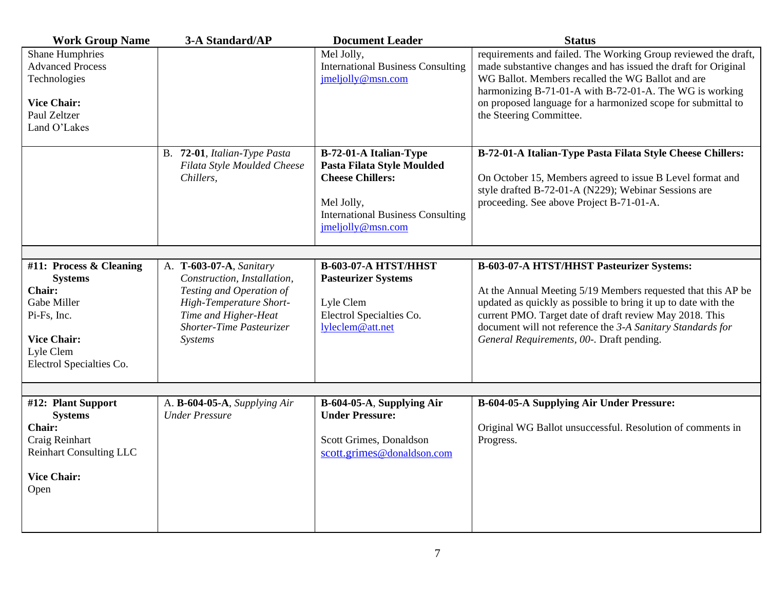| <b>Work Group Name</b>                                                                                                                                  | 3-A Standard/AP                                                                                                                                                              | <b>Document Leader</b>                                                                                                                                         | <b>Status</b>                                                                                                                                                                                                                                                                                                                                     |
|---------------------------------------------------------------------------------------------------------------------------------------------------------|------------------------------------------------------------------------------------------------------------------------------------------------------------------------------|----------------------------------------------------------------------------------------------------------------------------------------------------------------|---------------------------------------------------------------------------------------------------------------------------------------------------------------------------------------------------------------------------------------------------------------------------------------------------------------------------------------------------|
| <b>Shane Humphries</b><br><b>Advanced Process</b><br>Technologies<br><b>Vice Chair:</b><br>Paul Zeltzer<br>Land O'Lakes                                 |                                                                                                                                                                              | Mel Jolly,<br><b>International Business Consulting</b><br>imeljolly@msn.com                                                                                    | requirements and failed. The Working Group reviewed the draft,<br>made substantive changes and has issued the draft for Original<br>WG Ballot. Members recalled the WG Ballot and are<br>harmonizing B-71-01-A with B-72-01-A. The WG is working<br>on proposed language for a harmonized scope for submittal to<br>the Steering Committee.       |
|                                                                                                                                                         | B. 72-01, Italian-Type Pasta<br>Filata Style Moulded Cheese<br>Chillers,                                                                                                     | B-72-01-A Italian-Type<br>Pasta Filata Style Moulded<br><b>Cheese Chillers:</b><br>Mel Jolly,<br><b>International Business Consulting</b><br>jmeljolly@msn.com | B-72-01-A Italian-Type Pasta Filata Style Cheese Chillers:<br>On October 15, Members agreed to issue B Level format and<br>style drafted B-72-01-A (N229); Webinar Sessions are<br>proceeding. See above Project B-71-01-A.                                                                                                                       |
|                                                                                                                                                         |                                                                                                                                                                              |                                                                                                                                                                |                                                                                                                                                                                                                                                                                                                                                   |
| #11: Process & Cleaning<br><b>Systems</b><br><b>Chair:</b><br>Gabe Miller<br>Pi-Fs, Inc.<br><b>Vice Chair:</b><br>Lyle Clem<br>Electrol Specialties Co. | A. T-603-07-A, Sanitary<br>Construction, Installation,<br>Testing and Operation of<br>High-Temperature Short-<br>Time and Higher-Heat<br>Shorter-Time Pasteurizer<br>Systems | <b>B-603-07-A HTST/HHST</b><br><b>Pasteurizer Systems</b><br>Lyle Clem<br>Electrol Specialties Co.<br>lyleclem@att.net                                         | B-603-07-A HTST/HHST Pasteurizer Systems:<br>At the Annual Meeting 5/19 Members requested that this AP be<br>updated as quickly as possible to bring it up to date with the<br>current PMO. Target date of draft review May 2018. This<br>document will not reference the 3-A Sanitary Standards for<br>General Requirements, 00-. Draft pending. |
|                                                                                                                                                         |                                                                                                                                                                              |                                                                                                                                                                |                                                                                                                                                                                                                                                                                                                                                   |
| #12: Plant Support<br><b>Systems</b><br><b>Chair:</b><br>Craig Reinhart<br><b>Reinhart Consulting LLC</b><br><b>Vice Chair:</b><br>Open                 | A. B-604-05-A, Supplying Air<br><b>Under Pressure</b>                                                                                                                        | B-604-05-A, Supplying Air<br><b>Under Pressure:</b><br>Scott Grimes, Donaldson<br>scott.grimes@donaldson.com                                                   | <b>B-604-05-A Supplying Air Under Pressure:</b><br>Original WG Ballot unsuccessful. Resolution of comments in<br>Progress.                                                                                                                                                                                                                        |